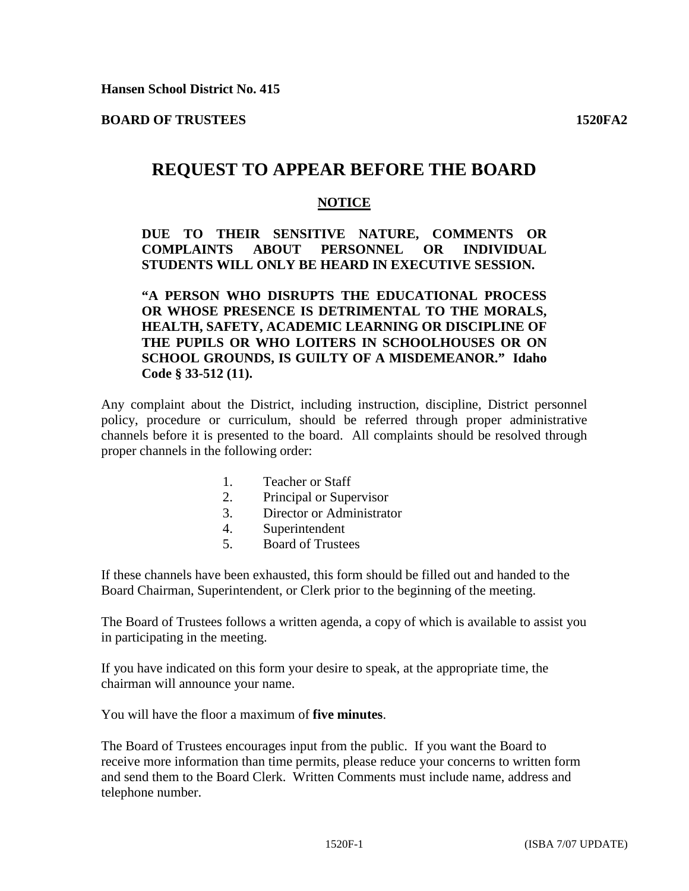**BOARD OF TRUSTEES 1520FA2**

## **REQUEST TO APPEAR BEFORE THE BOARD**

## **NOTICE**

**DUE TO THEIR SENSITIVE NATURE, COMMENTS OR COMPLAINTS ABOUT PERSONNEL OR INDIVIDUAL STUDENTS WILL ONLY BE HEARD IN EXECUTIVE SESSION.** 

**"A PERSON WHO DISRUPTS THE EDUCATIONAL PROCESS OR WHOSE PRESENCE IS DETRIMENTAL TO THE MORALS, HEALTH, SAFETY, ACADEMIC LEARNING OR DISCIPLINE OF THE PUPILS OR WHO LOITERS IN SCHOOLHOUSES OR ON SCHOOL GROUNDS, IS GUILTY OF A MISDEMEANOR." Idaho Code § 33-512 (11).**

Any complaint about the District, including instruction, discipline, District personnel policy, procedure or curriculum, should be referred through proper administrative channels before it is presented to the board. All complaints should be resolved through proper channels in the following order:

- 1. Teacher or Staff
- 2. Principal or Supervisor
- 3. Director or Administrator
- 4. Superintendent
- 5. Board of Trustees

If these channels have been exhausted, this form should be filled out and handed to the Board Chairman, Superintendent, or Clerk prior to the beginning of the meeting.

The Board of Trustees follows a written agenda, a copy of which is available to assist you in participating in the meeting.

If you have indicated on this form your desire to speak, at the appropriate time, the chairman will announce your name.

You will have the floor a maximum of **five minutes**.

The Board of Trustees encourages input from the public. If you want the Board to receive more information than time permits, please reduce your concerns to written form and send them to the Board Clerk. Written Comments must include name, address and telephone number.